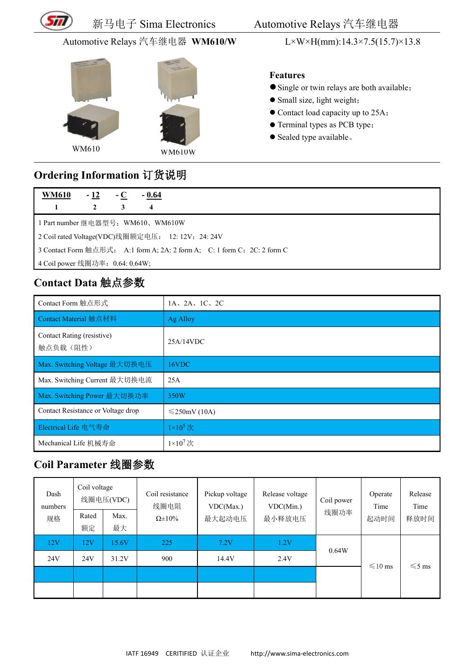

### 新马电子 Sima Electronics Automotive Relays 汽车继电器

#### Automotive Relays 汽车继电器 **WM610/W** L×W×H(mm):14.3×7.5(15.7)×13.8





#### **Features**

- Single or twin relays are both available;
- Small size, light weight;
- Contact load capacity up to 25A;
- Terminal types as PCB type;
- Sealed type available.

### **Ordering Information** 订货说明

| <b>WM610</b>                                                             | $-12$        | $-C$ | $-0.64$ |  |  |  |  |
|--------------------------------------------------------------------------|--------------|------|---------|--|--|--|--|
|                                                                          | $\mathbf{2}$ | 3    | 4       |  |  |  |  |
| 1 Part number 继电器型号: WM610、WM610W                                        |              |      |         |  |  |  |  |
| 2 Coil rated Voltage(VDC)线圈额定电压: 12: 12V; 24: 24V                        |              |      |         |  |  |  |  |
| 3 Contact Form 触点形式: A:1 form A; 2A: 2 form A; C: 1 form C; 2C: 2 form C |              |      |         |  |  |  |  |
| 4 Coil power 线圈功率: 0.64: 0.64W;                                          |              |      |         |  |  |  |  |

## **Contact Data** 触点参数

| Contact Form 触点形式                      | $1A$ , $2A$ , $1C$ , $2C$ |
|----------------------------------------|---------------------------|
| Contact Material 触点材料                  | Ag Alloy                  |
| Contact Rating (resistive)<br>触点负载(阻性) | 25A/14VDC                 |
| Max. Switching Voltage 最大切换电压          | 16VDC                     |
| Max. Switching Current 最大切换电流          | 25A                       |
| Max. Switching Power 最大切换功率            | 350W                      |
| Contact Resistance or Voltage drop     | $\leq$ 250mV (10A)        |
| Electrical Life 电气寿命                   | $1\times10^5$ 次           |
| Mechanical Life 机械寿命                   | $1\times10^7$ 次           |

## **Coil Parameter** 线圈参数

| Dash<br>numbers<br>规格 | Coil voltage<br>Rated<br>额定 | 线圈电压(VDC)<br>Max.<br>最大 | Coil resistance<br>线圈电阻<br>$\Omega \pm 10\%$ | Pickup voltage<br>VDC(Max.)<br>最大起动电压 | Release voltage<br>VDC(Min.)<br>最小释放电压 | Coil power<br>线圈功率 | Operate<br>Time<br>起动时间 | Release<br>Time<br>释放时间 |
|-----------------------|-----------------------------|-------------------------|----------------------------------------------|---------------------------------------|----------------------------------------|--------------------|-------------------------|-------------------------|
| 12V                   | 12V                         | 15.6V                   | 225                                          | 7.2V                                  | 1.2V                                   | 0.64W              |                         |                         |
| 24V                   | 24V                         | 31.2V                   | 900                                          | 14.4V                                 | 2.4V                                   |                    | $\leq 10$ ms            | $\leq 5$ ms             |
|                       |                             |                         |                                              |                                       |                                        |                    |                         |                         |
|                       |                             |                         |                                              |                                       |                                        |                    |                         |                         |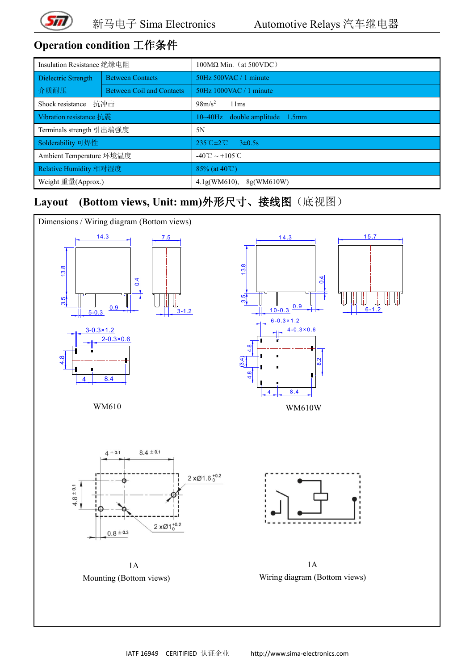

# **Operation condition** 工作条件

| Insulation Resistance 绝缘电阻 |                                  | $100\text{M}\Omega$ Min. (at 500VDC)           |  |  |  |  |
|----------------------------|----------------------------------|------------------------------------------------|--|--|--|--|
| Dielectric Strength        | <b>Between Contacts</b>          | 50Hz 500VAC / 1 minute                         |  |  |  |  |
| 介质耐压                       | <b>Between Coil and Contacts</b> | $50Hz$ 1000VAC / 1 minute                      |  |  |  |  |
| Shock resistance           | 抗冲击                              | $98m/s^2$<br>11ms                              |  |  |  |  |
| Vibration resistance 抗震    |                                  | $10 \sim 40$ Hz double amplitude 1.5mm         |  |  |  |  |
| Terminals strength 引出端强度   |                                  | 5N                                             |  |  |  |  |
| Solderability 可焊性          |                                  | $235^{\circ}$ C $\pm 2^{\circ}$ C $3\pm 0.5$ s |  |  |  |  |
| Ambient Temperature 环境温度   |                                  | $-40^{\circ}$ C ~ +105 °C                      |  |  |  |  |
| Relative Humidity 相对湿度     |                                  | 85% (at $40^{\circ}$ C)                        |  |  |  |  |
| Weight 重量(Approx.)         |                                  | 4.1g(WM610),<br>8g(WM610W)                     |  |  |  |  |

## **Layout (Bottom views, Unit: mm)**外形尺寸、接线图(底视图)